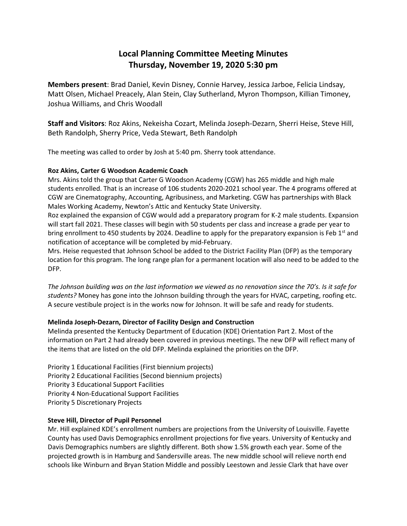## **Local Planning Committee Meeting Minutes Thursday, November 19, 2020 5:30 pm**

**Members present**: Brad Daniel, Kevin Disney, Connie Harvey, Jessica Jarboe, Felicia Lindsay, Matt Olsen, Michael Preacely, Alan Stein, Clay Sutherland, Myron Thompson, Killian Timoney, Joshua Williams, and Chris Woodall

**Staff and Visitors**: Roz Akins, Nekeisha Cozart, Melinda Joseph-Dezarn, Sherri Heise, Steve Hill, Beth Randolph, Sherry Price, Veda Stewart, Beth Randolph

The meeting was called to order by Josh at 5:40 pm. Sherry took attendance.

## **Roz Akins, Carter G Woodson Academic Coach**

Mrs. Akins told the group that Carter G Woodson Academy (CGW) has 265 middle and high male students enrolled. That is an increase of 106 students 2020-2021 school year. The 4 programs offered at CGW are Cinematography, Accounting, Agribusiness, and Marketing. CGW has partnerships with Black Males Working Academy, Newton's Attic and Kentucky State University.

Roz explained the expansion of CGW would add a preparatory program for K-2 male students. Expansion will start fall 2021. These classes will begin with 50 students per class and increase a grade per year to bring enrollment to 450 students by 2024. Deadline to apply for the preparatory expansion is Feb  $1<sup>st</sup>$  and notification of acceptance will be completed by mid-February.

Mrs. Heise requested that Johnson School be added to the District Facility Plan (DFP) as the temporary location for this program. The long range plan for a permanent location will also need to be added to the DFP.

*The Johnson building was on the last information we viewed as no renovation since the 70's. Is it safe for students?* Money has gone into the Johnson building through the years for HVAC, carpeting, roofing etc. A secure vestibule project is in the works now for Johnson. It will be safe and ready for students.

## **Melinda Joseph-Dezarn, Director of Facility Design and Construction**

Melinda presented the Kentucky Department of Education (KDE) Orientation Part 2. Most of the information on Part 2 had already been covered in previous meetings. The new DFP will reflect many of the items that are listed on the old DFP. Melinda explained the priorities on the DFP.

Priority 1 Educational Facilities (First biennium projects) Priority 2 Educational Facilities (Second biennium projects) Priority 3 Educational Support Facilities Priority 4 Non-Educational Support Facilities Priority 5 Discretionary Projects

## **Steve Hill, Director of Pupil Personnel**

Mr. Hill explained KDE's enrollment numbers are projections from the University of Louisville. Fayette County has used Davis Demographics enrollment projections for five years. University of Kentucky and Davis Demographics numbers are slightly different. Both show 1.5% growth each year. Some of the projected growth is in Hamburg and Sandersville areas. The new middle school will relieve north end schools like Winburn and Bryan Station Middle and possibly Leestown and Jessie Clark that have over